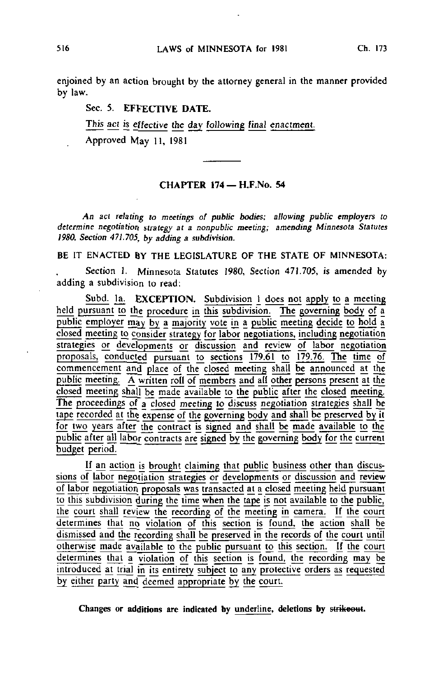enjoined by an action brought by the attorney general in the manner provided by law.

# Sec. 5. EFFECTIVE DATE.

This act is effective the day following final enactment.

Approved May 11, 1981

# CHAPTER 174 - H.F.No. 54

An act relating to meetings of public bodies; allowing public employers to determine negotiation strategy at a nonpublic meeting; amending Minnesota Statutes 1980, Section 471.705, by adding a subdivision.

BE IT ENACTED BY THE LEGISLATURE OF THE STATE OF MINNESOTA:

Section 1. Minnesota Statutes 1980, Section 471.705, is amended by adding a subdivision to read:

Subd. la. EXCEPTION. Subdivision 1 does not apply to a meeting held pursuant to the procedure in this subdivision. The governing body of a public employer may by a majority vote in a public meeting decide to hold a closed meeting to consider strategy for labor negotiations, including negotiation strategies or developments or discussion and review of labor negotiation proposals, conducted pursuant to sections 179.61 to 179.76. The time of commencement and place of the closed meeting shall be announced at the public meeting. A written roll of members and all other persons present at the closed meeting shall be made available to the public after the closed meeting. The proceedings of a closed meeting to discuss negotiation strategies shall be tape recorded at the expense of the governing body and shall be preserved by it for two years after the contract is signed and shall be made available to the public after all labor contracts are signed by the governing body for the current budget period.

If an action is brought claiming that public business other than djscussions of labor negotiation strategies or developments or discussion and review of labor negotiation proposals was transacted at a closed meeting held pursuant to this subdivision during the time when the tape is not available to the public, the court shall review the recording of the meeting in camera. If the court determines that no violation of this section is found, the action shall be dismissed and the recording shall be preserved in the records of the court until otherwise made available to the public pursuant to this section. Jf the court determines that a violation of this section is found, the recording may be introduced at trial in its entirety subject to any protective orders as requested by either party and deemed appropriate by the court.

Changes or additions are indicated by underline, deletions by strikeout.